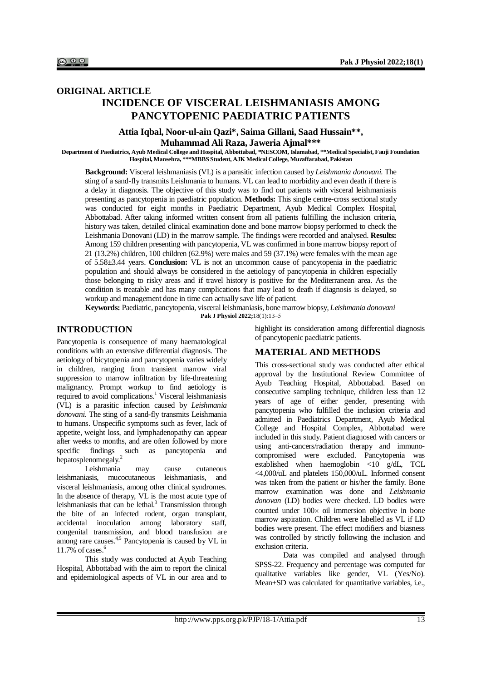# **ORIGINAL ARTICLE INCIDENCE OF VISCERAL LEISHMANIASIS AMONG PANCYTOPENIC PAEDIATRIC PATIENTS**

## **Attia Iqbal, Noor-ul-ain Qazi\*, Saima Gillani, Saad Hussain\*\*, Muhammad Ali Raza, Jaweria Ajmal\*\*\***

**Department of Paediatrics, Ayub Medical College and Hospital, Abbottabad, \*NESCOM, Islamabad, \*\*Medical Specialist, Fauji Foundation Hospital, Mansehra, \*\*\*MBBS Student, AJK Medical College, Muzaffarabad, Pakistan**

**Background:** Visceral leishmaniasis (VL) is a parasitic infection caused by *Leishmania donovani*. The sting of a sand-fly transmits Leishmania to humans. VL can lead to morbidity and even death if there is a delay in diagnosis. The objective of this study was to find out patients with visceral leishmaniasis presenting as pancytopenia in paediatric population. **Methods:** This single centre-cross sectional study was conducted for eight months in Paediatric Department, Ayub Medical Complex Hospital, Abbottabad. After taking informed written consent from all patients fulfilling the inclusion criteria, history was taken, detailed clinical examination done and bone marrow biopsy performed to check the Leishmania Donovani (LD) in the marrow sample. The findings were recorded and analysed. **Results:**  Among 159 children presenting with pancytopenia, VL was confirmed in bone marrow biopsy report of 21 (13.2%) children, 100 children (62.9%) were males and 59 (37.1%) were females with the mean age of 5.58±3.44 years. **Conclusion:** VL is not an uncommon cause of pancytopenia in the paediatric population and should always be considered in the aetiology of pancytopenia in children especially those belonging to risky areas and if travel history is positive for the Mediterranean area. As the condition is treatable and has many complications that may lead to death if diagnosis is delayed, so workup and management done in time can actually save life of patient.

**Keywords:** Paediatric, pancytopenia, visceral leishmaniasis, bone marrow biopsy, *Leishmania donovani* **Pak J Physiol 2022;**18(1):13‒5

### **INTRODUCTION**

Pancytopenia is consequence of many haematological conditions with an extensive differential diagnosis. The aetiology of bicytopenia and pancytopenia varies widely in children, ranging from transient marrow viral suppression to marrow infiltration by life-threatening malignancy. Prompt workup to find aetiology is required to avoid complications.<sup>1</sup> Visceral leishmaniasis (VL) is a parasitic infection caused by *Leishmania donovani*. The sting of a sand-fly transmits Leishmania to humans. Unspecific symptoms such as fever, lack of appetite, weight loss, and lymphadenopathy can appear after weeks to months, and are often followed by more specific findings such as pancytopenia and hepatosplenomegaly.<sup>2</sup>

Leishmania may cause cutaneous<br>iasis. mucocutaneous leishmaniasis. and leishmaniasis, mucocutaneous leishmaniasis, and visceral leishmaniasis, among other clinical syndromes. In the absence of therapy, VL is the most acute type of leishmaniasis that can be lethal. $3$  Transmission through the bite of an infected rodent, organ transplant, accidental inoculation among laboratory staff, congenital transmission, and blood transfusion are among rare causes.4,5 Pancytopenia is caused by VL in 11.7% of cases. $6$ 

This study was conducted at Ayub Teaching Hospital, Abbottabad with the aim to report the clinical and epidemiological aspects of VL in our area and to highlight its consideration among differential diagnosis of pancytopenic paediatric patients.

### **MATERIAL AND METHODS**

This cross-sectional study was conducted after ethical approval by the Institutional Review Committee of Ayub Teaching Hospital, Abbottabad. Based on consecutive sampling technique, children less than 12 years of age of either gender, presenting with pancytopenia who fulfilled the inclusion criteria and admitted in Paediatrics Department, Ayub Medical College and Hospital Complex, Abbottabad were included in this study. Patient diagnosed with cancers or using anti-cancers/radiation therapy and immunocompromised were excluded. Pancytopenia was established when haemoglobin <10 g/dL, TCL <4,000/uL and platelets 150,000/uL. Informed consent was taken from the patient or his/her the family. Bone marrow examination was done and *Leishmania donovan* (LD) bodies were checked. LD bodies were counted under  $100 \times$  oil immersion objective in bone marrow aspiration. Children were labelled as VL if LD bodies were present. The effect modifiers and biasness was controlled by strictly following the inclusion and exclusion criteria.

Data was compiled and analysed through SPSS-22. Frequency and percentage was computed for qualitative variables like gender, VL (Yes/No). Mean±SD was calculated for quantitative variables, i.e.,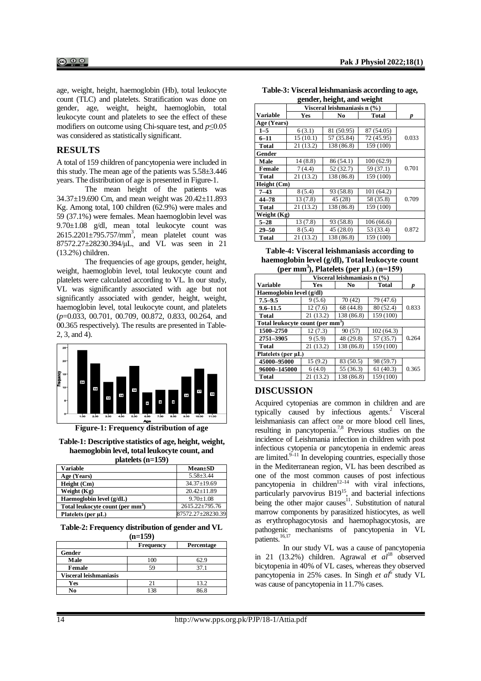age, weight, height, haemoglobin (Hb), total leukocyte count (TLC) and platelets. Stratification was done on gender, age, weight, height, haemoglobin, total leukocyte count and platelets to see the effect of these modifiers on outcome using Chi-square test, and *p*≤0.05 was considered as statistically significant.

### **RESULTS**

A total of 159 children of pancytopenia were included in this study. The mean age of the patients was 5.58±3.446 years. The distribution of age is presented in Figure-1.

The mean height of the patients was 34.37±19.690 Cm, and mean weight was 20.42±11.893 Kg. Among total, 100 children (62.9%) were males and 59 (37.1%) were females. Mean haemoglobin level was 9.70±1.08 g/dl, mean total leukocyte count was  $2615.2201 \pm 795.757/\text{mm}^3$ , mean platelet count was 87572.27±28230.394/μL, and VL was seen in 21 (13.2%) children.

The frequencies of age groups, gender, height, weight, haemoglobin level, total leukocyte count and platelets were calculated according to VL. In our study, VL was significantly associated with age but not significantly associated with gender, height, weight, haemoglobin level, total leukocyte count, and platelets (*p*=0.033, 00.701, 00.709, 00.872, 0.833, 00.264, and 00.365 respectively). The results are presented in Table-2, 3, and 4).



**Figure-1: Frequency distribution of age**

**Table-1: Descriptive statistics of age, height, weight, haemoglobin level, total leukocyte count, and platelets (n=159)**

| <b>Variable</b>                              | $Mean \pm SD$     |  |  |  |
|----------------------------------------------|-------------------|--|--|--|
| Age (Years)                                  | $5.58 \pm 3.44$   |  |  |  |
| Height (Cm)                                  | $34.37 \pm 19.69$ |  |  |  |
| Weight $(Kg)$                                | $20.42 \pm 11.89$ |  |  |  |
| Haemoglobin level (g/dL)                     | $9.70 + 1.08$     |  |  |  |
| Total leukocyte count (per mm <sup>3</sup> ) | 2615.22±795.76    |  |  |  |
| Platelets (per µL)                           | 87572.27±28230.39 |  |  |  |

#### **Table-2: Frequency distribution of gender and VL (n=159)**

|                        | Frequency | Percentage |  |  |  |  |
|------------------------|-----------|------------|--|--|--|--|
| Gender                 |           |            |  |  |  |  |
| Male                   | 100       | 62.9       |  |  |  |  |
| Female                 | 59        | 37.1       |  |  |  |  |
| Visceral leishmaniasis |           |            |  |  |  |  |
| Yes                    |           | 13.2       |  |  |  |  |
| No                     | 138       | 86.8       |  |  |  |  |

| Table-3: Visceral leishmaniasis according to age, |
|---------------------------------------------------|
| gender, height, and weight                        |

|              | Visceral leishmaniasis n (%) |            |              |       |  |  |  |  |
|--------------|------------------------------|------------|--------------|-------|--|--|--|--|
| Variable     | Yes                          | No         | <b>Total</b> | p     |  |  |  |  |
| Age (Years)  |                              |            |              |       |  |  |  |  |
| $1 - 5$      | 6(3.1)                       | 81 (50.95) | 87 (54.05)   |       |  |  |  |  |
| $6 - 11$     | 15(10.1)                     | 57 (35.84) | 72 (45.95)   | 0.033 |  |  |  |  |
| Total        | 21(13.2)                     | 138 (86.8) | 159 (100)    |       |  |  |  |  |
| Gender       |                              |            |              |       |  |  |  |  |
| Male         | 14(8.8)                      | 86(54.1)   | 100(62.9)    |       |  |  |  |  |
| Female       | 7(4.4)                       | 52 (32.7)  | 59 (37.1)    | 0.701 |  |  |  |  |
| <b>Total</b> | 21(13.2)                     | 138 (86.8) | 159 (100)    |       |  |  |  |  |
| Height (Cm)  |                              |            |              |       |  |  |  |  |
| $7 - 43$     | 8(5.4)                       | 93 (58.8)  | 101(64.2)    |       |  |  |  |  |
| 44-78        | 13(7.8)                      | 45(28)     | 58 (35.8)    | 0.709 |  |  |  |  |
| Total        | 21 (13.2)                    | 138 (86.8) | 159 (100)    |       |  |  |  |  |
| Weight (Kg)  |                              |            |              |       |  |  |  |  |
| $5 - 28$     | 13(7.8)                      | 93 (58.8)  | 106(66.6)    |       |  |  |  |  |
| $29 - 50$    | 8(5.4)                       | 45(28.0)   | 53 (33.4)    | 0.872 |  |  |  |  |
| <b>Total</b> | 21(13.2)                     | 138 (86.8) | 159 (100)    |       |  |  |  |  |

**Table-4: Visceral leishmaniasis according to haemoglobin level (g/dl), Total leukocyte count (per mm<sup>3</sup> ), Platelets (per μL) (n=159)**

|                                              | Visceral leishmaniasis n (%) |            |           |       |  |  |  |  |
|----------------------------------------------|------------------------------|------------|-----------|-------|--|--|--|--|
| Variable                                     | Yes                          | No         | Total     | р     |  |  |  |  |
| Haemoglobin level (g/dl)                     |                              |            |           |       |  |  |  |  |
| $7.5 - 9.5$                                  | 9(5.6)                       | 70 (42)    | 79 (47.6) |       |  |  |  |  |
| $9.6 - 11.5$                                 | 12(7.6)                      | 68 (44.8)  | 80 (52.4) | 0.833 |  |  |  |  |
| Total                                        | 21(13.2)                     | 138 (86.8) | 159 (100) |       |  |  |  |  |
| Total leukocyte count (per mm <sup>3</sup> ) |                              |            |           |       |  |  |  |  |
| 1500-2750                                    | 12(7.3)                      | 90(57)     | 102(64.3) |       |  |  |  |  |
| 2751-3905                                    | 9(5.9)                       | 48 (29.8)  | 57 (35.7) | 0.264 |  |  |  |  |
| Total                                        | 21(13.2)                     | 138 (86.8) | 159 (100) |       |  |  |  |  |
| Platelets (per µL)                           |                              |            |           |       |  |  |  |  |
| 45000-95000                                  | 15(9.2)                      | 83 (50.5)  | 98 (59.7) |       |  |  |  |  |
| 96000-145000                                 | 6(4.0)                       | 55 (36.3)  | 61(40.3)  | 0.365 |  |  |  |  |
| Total                                        | 21(13.2)                     | 138 (86.8) | 159 (100) |       |  |  |  |  |

# **DISCUSSION**

Acquired cytopenias are common in children and are typically caused by infectious agents.<sup>2</sup> Visceral leishmaniasis can affect one or more blood cell lines, resulting in pancytopenia.7,8 Previous studies on the incidence of Leishmania infection in children with post infectious cytopenia or pancytopenia in endemic areas are limited.<sup>9–11</sup> In developing countries, especially those in the Mediterranean region, VL has been described as one of the most common causes of post infectious pancytopenia in children<sup>12–14</sup> with viral infections, particularly parvovirus  $B19^{15}$ , and bacterial infections  $\phi$  being the other major causes<sup>11</sup>. Substitution of natural marrow components by parasitized histiocytes, as well as erythrophagocytosis and haemophagocytosis, are pathogenic mechanisms of pancytopenia in VL patients.<sup>16,17</sup>

In our study VL was a cause of pancytopenia in 21 (13.2%) children. Agrawal *et al*<sup>18</sup> observed bicytopenia in 40% of VL cases, whereas they observed pancytopenia in 25% cases. In Singh *et al*<sup>6</sup> study VL was cause of pancytopenia in 11.7% cases.